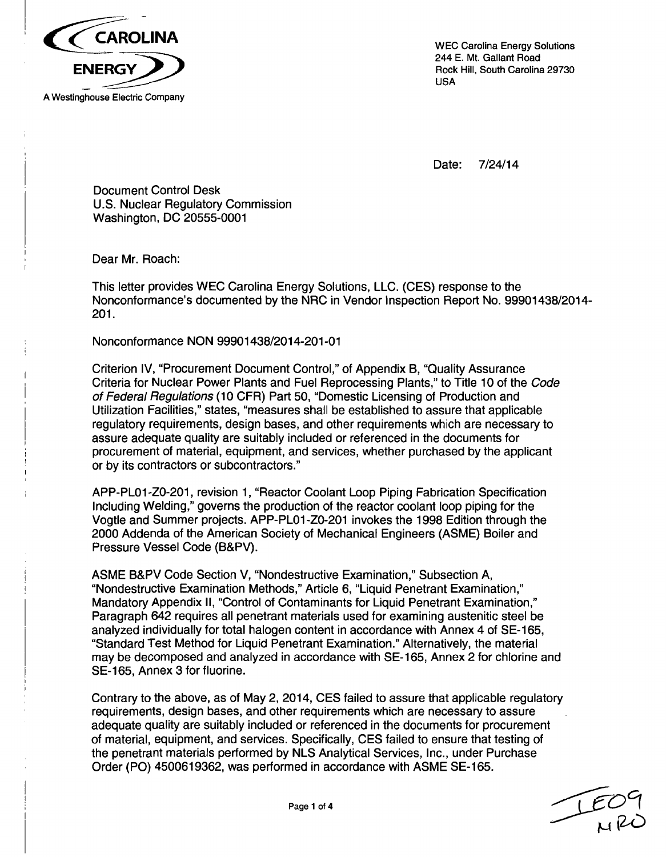

244 E. Mt. Gallant Road **ENERGY PRODUCED A ROCK Hill, South Carolina 29730** 

Date: 7/24/14

Document Control Desk U.S. Nuclear Regulatory Commission Washington, DC 20555-0001

Dear Mr. Roach:

This letter provides WEC Carolina Energy Solutions, LLC. (CES) response to the Nonconformance's documented by the NRC in Vendor Inspection Report No. 99901438/2014- 201.

Nonconformance NON 99901438/2014-201-01

Criterion IV, "Procurement Document Control," of Appendix B, "Quality Assurance Criteria for Nuclear Power Plants and Fuel Reprocessing Plants," to Title 10 of the *Code of Federal Regulations* (10 CFR) Part 50, "Domestic Licensing of Production and Utilization Facilities," states, "measures shall be established to assure that applicable regulatory requirements, design bases, and other requirements which are necessary to assure adequate quality are suitably included or referenced in the documents for procurement of material, equipment, and services, whether purchased by the applicant or by its contractors or subcontractors."

APP-PL01 -ZO-201, revision 1, "Reactor Coolant Loop Piping Fabrication Specification Including Welding," governs the production of the reactor coolant loop piping for the Vogtle and Summer projects. APP-PLO1-ZO-201 invokes the 1998 Edition through the 2000 Addenda of the American Society of Mechanical Engineers (ASME) Boiler and Pressure Vessel Code (B&PV).

ASME B&PV Code Section V, "Nondestructive Examination," Subsection A, "Nondestructive Examination Methods," Article 6, "Liquid Penetrant Examination," Mandatory Appendix II, "Control of Contaminants for Liquid Penetrant Examination," Paragraph 642 requires all penetrant materials used for examining austenitic steel be analyzed individually for total halogen content in accordance with Annex 4 of SE-165, "Standard Test Method for Liquid Penetrant Examination." Alternatively, the material may be decomposed and analyzed in accordance with SE-165, Annex 2 for chlorine and SE-165, Annex 3 for fluorine.

Contrary to the above, as of May 2, 2014, CES failed to assure that applicable regulatory requirements, design bases, and other requirements which are necessary to assure adequate quality are suitably included or referenced in the documents for procurement of material, equipment, and services. Specifically, CES failed to ensure that testing of the penetrant materials performed by NLS Analytical Services, Inc., under Purchase Order (PO) 4500619362, was performed in accordance with ASME SE-165.

 $\frac{120}{18}$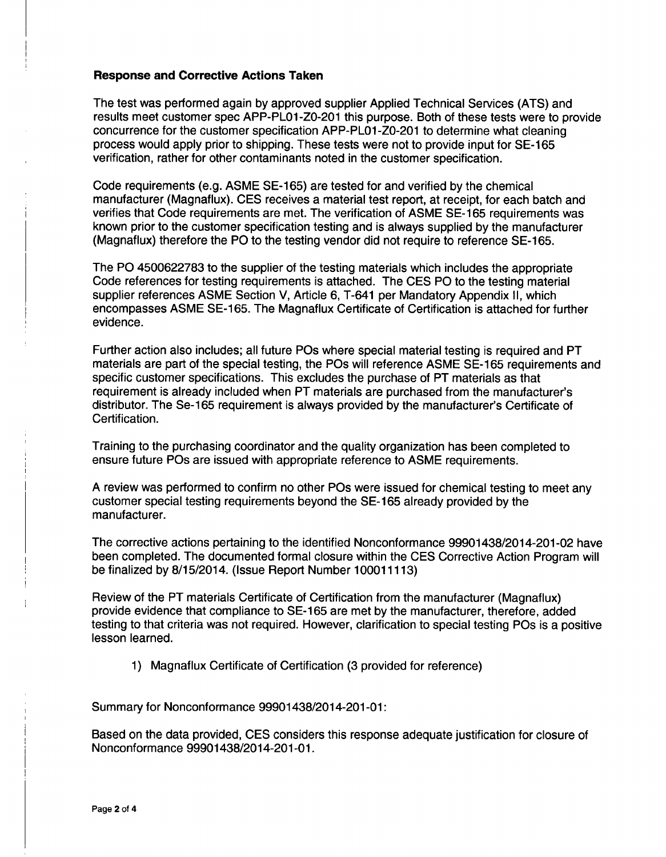#### Response and Corrective Actions Taken

The test was performed again by approved supplier Applied Technical Services (ATS) and results meet customer spec APP-PL01-ZO-201 this purpose. Both of these tests were to provide concurrence for the customer specification APP-PL01-ZO-201 to determine what cleaning process would apply prior to shipping. These tests were not to provide input for SE-165 verification, rather for other contaminants noted in the customer specification.

Code requirements (e.g. ASME **SE-165)** are tested for and verified by the chemical manufacturer (Magnaflux). CES receives a material test report, at receipt, for each batch and verifies that Code requirements are met. The verification of ASME SE-165 requirements was known prior to the customer specification testing and is always supplied by the manufacturer (Magnaflux) therefore the PO to the testing vendor did not require to reference SE-165.

The PO 4500622783 to the supplier of the testing materials which includes the appropriate Code references for testing requirements is attached. The CES PO to the testing material supplier references ASME Section V, Article 6, T-641 per Mandatory Appendix II, which encompasses ASME SE-165. The Magnaflux Certificate of Certification is attached for further evidence.

Further action also includes; all future POs where special material testing is required and PT materials are part of the special testing, the POs will reference ASME SE-165 requirements and specific customer specifications. This excludes the purchase of PT materials as that requirement is already included when PT materials are purchased from the manufacturer's distributor. The Se-165 requirement is always provided by the manufacturer's Certificate of Certification.

Training to the purchasing coordinator and the quality organization has been completed to ensure future POs are issued with appropriate reference to ASME requirements.

A review was performed to confirm no other POs were issued for chemical testing to meet any customer special testing requirements beyond the SE-165 already provided by the manufacturer.

The corrective actions pertaining to the identified Nonconformance 99901438/2014-201-02 have been completed. The documented formal closure within the CES Corrective Action Program will be finalized by 8/15/2014. (Issue Report Number 100011113)

Review of the PT materials Certificate of Certification from the manufacturer (Magnaflux) provide evidence that compliance to SE-165 are met by the manufacturer, therefore, added testing to that criteria was not required. However, clarification to special testing POs is a positive lesson learned.

1) Magnaflux Certificate of Certification (3 provided for reference)

Summary for Nonconformance 99901438/2014-201-01:

Based on the data provided, CES considers this response adequate justification for closure of Nonconformance 99901438/2014-201-01.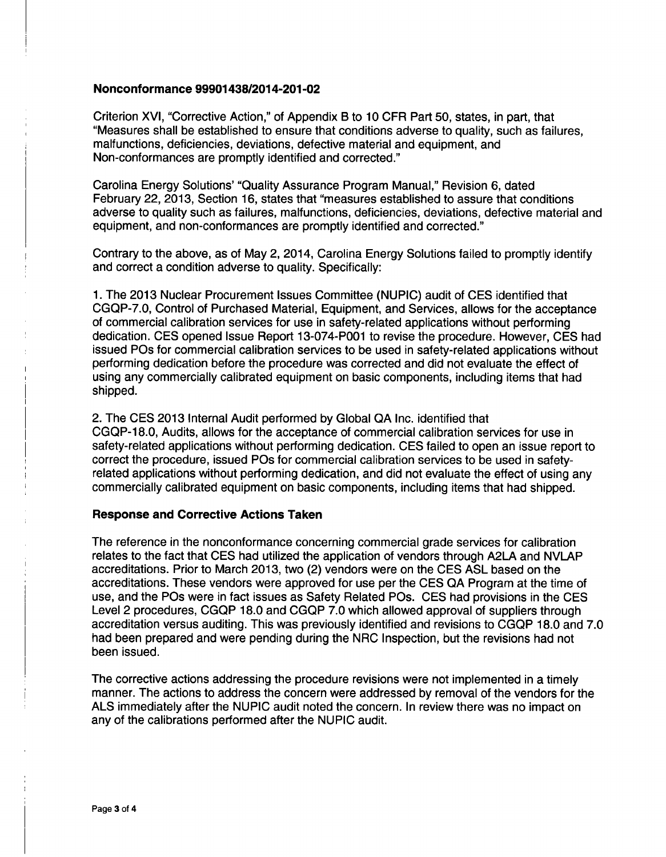#### Nonconformance 99901438/2014-201-02

Criterion XVI, "Corrective Action," of Appendix B to 10 CFR Part 50, states, in part, that "Measures shall be established to ensure that conditions adverse to quality, such as failures, malfunctions, deficiencies, deviations, defective material and equipment, and Non-conformances are promptly identified and corrected."

Carolina Energy Solutions' "Quality Assurance Program Manual," Revision 6, dated February 22, 2013, Section 16, states that "measures established to assure that conditions adverse to quality such as failures, malfunctions, deficiencies, deviations, defective material and equipment, and non-conformances are promptly identified and corrected."

Contrary to the above, as of May 2, 2014, Carolina Energy Solutions failed to promptly identify and correct a condition adverse to quality. Specifically:

1. The 2013 Nuclear Procurement Issues Committee (NUPIC) audit of CES identified that CGQP-7.0, Control of Purchased Material, Equipment, and Services, allows for the acceptance of commercial calibration services for use in safety-related applications without performing dedication. CES opened Issue Report 13-074-POOl to revise the procedure. However, CES had issued POs for commercial calibration services to be used in safety-related applications without performing dedication before the procedure was corrected and did not evaluate the effect of using any commercially calibrated equipment on basic components, including items that had shipped.

2. The CES 2013 Internal Audit performed by Global QA Inc. identified that CGQP-18.0, Audits, allows for the acceptance of commercial calibration services for use in safety-related applications without performing dedication. CES failed to open an issue report to correct the procedure, issued POs for commercial calibration services to be used in safetyrelated applications without performing dedication, and did not evaluate the effect of using any commercially calibrated equipment on basic components, including items that had shipped.

#### Response and Corrective Actions Taken

The reference in the nonconformance concerning commercial grade services for calibration relates to the fact that CES had utilized the application of vendors through A2LA and NVLAP accreditations. Prior to March 2013, two (2) vendors were on the CES ASL based on the accreditations. These vendors were approved for use per the CES QA Program at the time of use, and the POs were in fact issues as Safety Related POs. CES had provisions in the CES Level 2 procedures, CGQP 18.0 and CGQP 7.0 which allowed approval of suppliers through accreditation versus auditing. This was previously identified and revisions to CGQP 18.0 and 7.0 had been prepared and were pending during the NRC Inspection, but the revisions had not been issued.

The corrective actions addressing the procedure revisions were not implemented in a timely manner. The actions to address the concern were addressed by removal of the vendors for the ALS immediately after the NUPIC audit noted the concern. In review there was no impact on any of the calibrations performed after the NUPIC audit.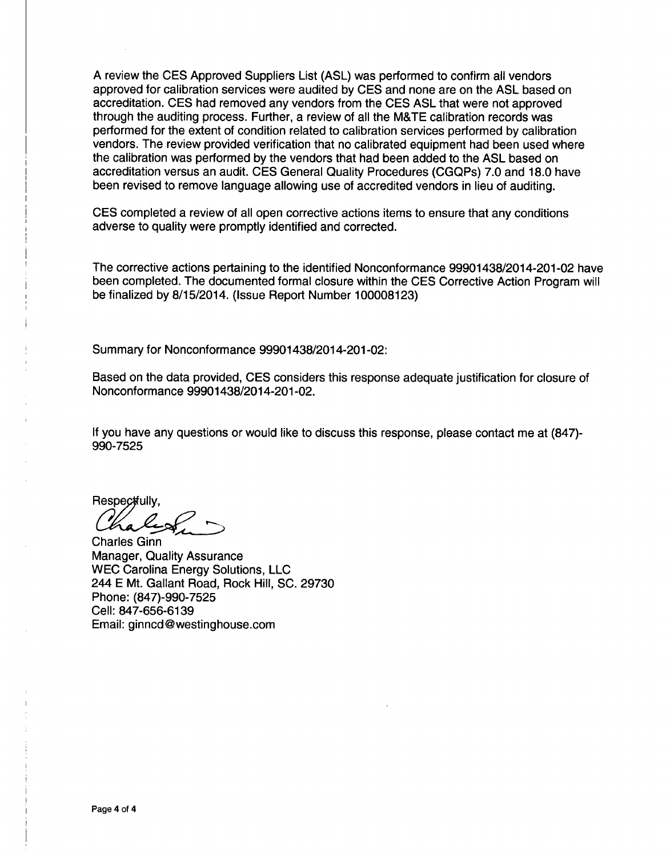A review the CES Approved Suppliers List (ASL) was performed to confirm all vendors approved for calibration services were audited by CES and none are on the ASL based on accreditation. CES had removed any vendors from the CES ASL that were not approved through the auditing process. Further, a review of all the M&TE calibration records was performed for the extent of condition related to calibration services performed by calibration vendors. The review provided verification that no calibrated equipment had been used where the calibration was performed by the vendors that had been added to the ASL based on accreditation versus an audit. CES General Quality Procedures (CGQPs) 7.0 and 18.0 have been revised to remove language allowing use of accredited vendors in lieu of auditing.

CES completed a review of all open corrective actions items to ensure that any conditions adverse to quality were promptly identified and corrected.

The corrective actions pertaining to the identified Nonconformance 99901438/2014-201-02 have been completed. The documented formal closure within the CES Corrective Action Program will be finalized by 8/15/2014. (Issue Report Number 100008123)

Summary for Nonconformance 99901438/2014-201-02:

Based on the data provided, CES considers this response adequate justification for closure of Nonconformance 99901438/2014-201-02.

If you have any questions or would like to discuss this response, please contact me at (847)- 990-7525

Respectfully.

Charles Ginn Manager, Quality Assurance WEC Carolina Energy Solutions, LLC 244 E Mt. Gallant Road, Rock Hill, SC. 29730 Phone: (847)-990-7525 Cell: 847-656-6139 Email: ginncd @westinghouse.com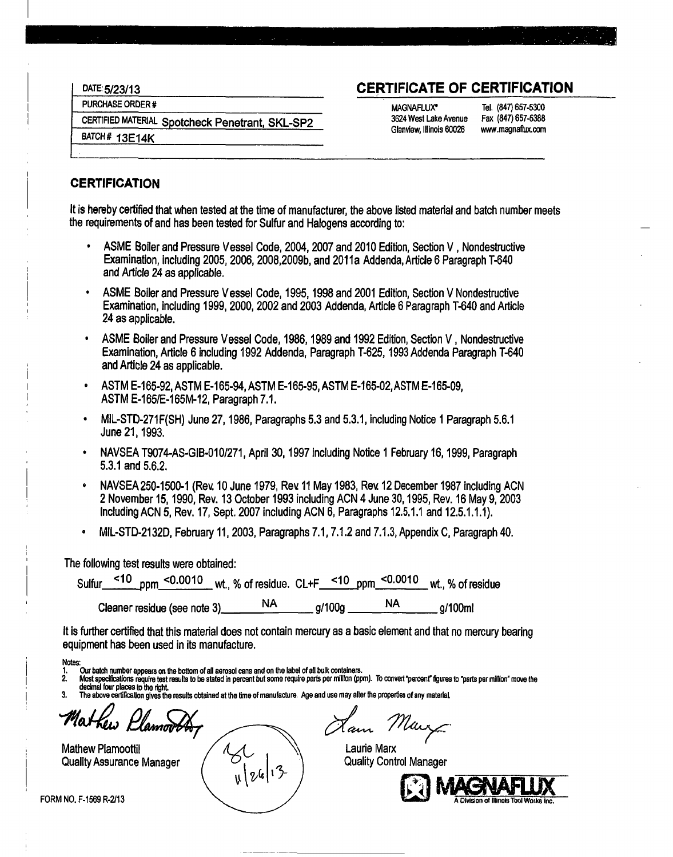PURCHASE ORDER # Tel. (847) 657-5300

CERTIFIED MATERIAL Spotcheck Penetrant, SKL-SP2 3624 West Lake Avenue Fax (847) 657-538 BATCH # 13F14K Glenview, Illinois 60026 www.magnaftux.com

## DATE: 5/23/13 CERTIFICATE OF CERTIFICATION

### **CERTIFICATION**

It is hereby certified that when tested at the time of manufacturer, the above listed material and batch number meets the requirements of and has been tested for Sulfur and Halogens according to:

- **9** ASME Boiler and Pressure Vessel Code, 2004, 2007 and 2010 Edition, Section V, Nondestructive Examination, including 2005, 2006, 2008,2009b, and 2011 a Addenda, Article 6 Paragraph T-640 and Article 24 as applicable.
- \* ASME Boiler and Pressure Vessel Code, 1995, 1998 and 2001 Edition, Section V Nondestructive Examination, including 1999, 2000, 2002 and 2003 Addenda, Article 6 Paragraph T-640 and Article 24 as applicable.
- **0** ASME Boiler and Pressure Vessel Code, 1986, 1989 and 1992 Edition, Section V, Nondestructive Examination, Article 6 including 1992 Addenda, Paragraph T-625, 1993 Addenda Paragraph T-640 and Article 24 as applicable.
- ASTM E-165-92, ASTM E-165-94, ASTM E-165-95, ASTM E-165-02, ASTM E-165-09, ASTM E-165/E-165M-12, Paragraph 7.1.
- **0** MIL-STD-271F(SH) June 27, 1986, Paragraphs 5.3 and 5.3.1, including Notice 1 Paragraph 5.6.1 June 21, 1993.
- \* NAVSEA T9074-AS-GIB-010/271, April **30,** 1997 including Notice 1 February 16, 1999, Paragraph 5.3.1 and 5.6.2.
- **<sup>o</sup>**NAVSEA250-1500-1 (Rev. 10 June 1979, Rev 11 May 1983, Rev 12 December 1987 including ACN 2 November 15, 1990, Rev. 13 October 1993 including ACN 4 June 30,1995, Rev. 16 May 9, 2003 Including ACN 5, Rev. 17, Sept. 2007 including ACN 6, Paragraphs 12.5.1.1 and 12.5.1.1.1).
- **<sup>o</sup>**MIL-STD-2132D, February 11, 2003, Paragraphs 7.1, 7.1.2 and 7.1.3, Appendix C, Paragraph 40.

The following test results were obtained:

| Sulfur $\frac{<10}{2}$ ppm $\frac{<0.0010}{2}$ wt., % of residue. CL+F $\frac{<10}{2}$ ppm $\frac{<0.0010}{2}$ wt., % of residue |    |        |         |
|----------------------------------------------------------------------------------------------------------------------------------|----|--------|---------|
| Cleaner residue (see note 3)                                                                                                     | ΝA | g/100g | g/100ml |

It is further certified that this material does not contain mercury as a basic element and that no mercury bearing equipment has been used in its manufacture.

**Notes** 

**1.** Our batch number appears on the bottom of all aerosol cans and on the label of all bulk containers.

Most specifications require test results to be stated in percent but some require parts per million (ppm). To convert "percent" figures to "parts per million" move the

decknal four places to the **right.** 3. The above certification gives the results obtained at the time of manufacture. Age and use may alter the properties of any material.

Mair

Mathew Plamoottil  $\Lambda$   $\Lambda$ Quality Assurance Manager  $\begin{pmatrix} 0 & 0 \ 0 & 1 \end{pmatrix}$  Quality Control Manager



**FORM NO. F-1569 R-2/13**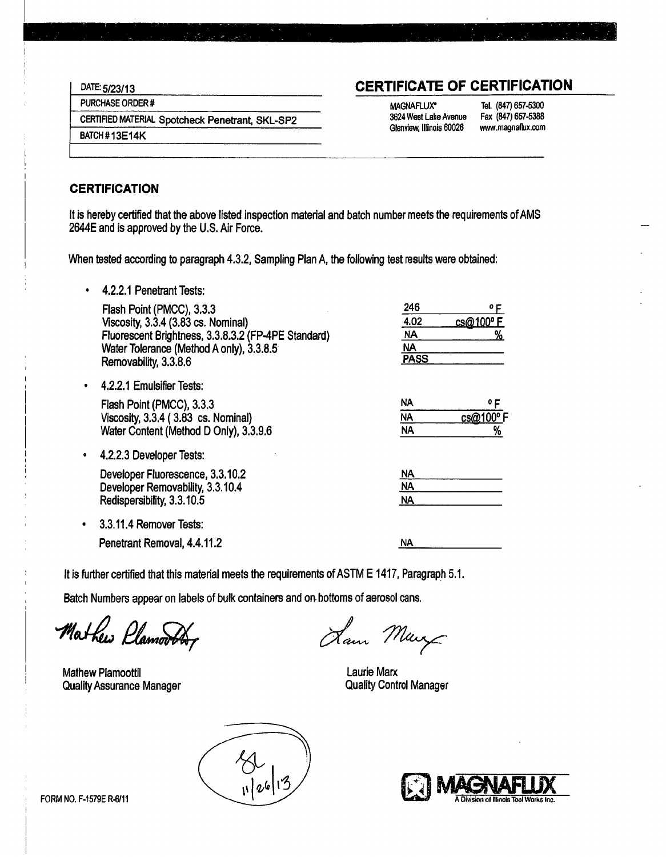DATE: 5/23/13

PURCHASE ORDER #

CERTIFIED MATERIAL Spotcheck Penetrant, SKL-SP2

BATCH#13E14K

## CERTIFICATE OF **CERTIFICATION**

MAGNAFLUX" Tel. (847) 657-5300 3624 West Lake Avenue Fax (847) 657-5388

#### **CERTIFICATION**

It is hereby certified that the above listed inspection material and batch number meets the requirements of AMS 2644E and is approved by the U.S. Air Force.

When tested according to paragraph 4.3.2, Sampling Plan A, the following test results were obtained:

4.2.2.1 Penetrant Tests:  $\bullet$ 

|           | Flash Point (PMCC), 3.3.3                           | 246         | οF              |
|-----------|-----------------------------------------------------|-------------|-----------------|
|           | Viscosity, 3.3.4 (3.83 cs. Nominal)                 | 4.02        | <u>cs@100°F</u> |
|           | Fluorescent Brightness, 3.3.8.3.2 (FP-4PE Standard) | NA          | ℅               |
|           | Water Tolerance (Method A only), 3.3.8.5            | NA          |                 |
|           | Removability, 3.3.8.6                               | <b>PASS</b> |                 |
| $\bullet$ | 4.2.2.1 Emulsifier Tests:                           |             |                 |
|           | Flash Point (PMCC), 3.3.3                           | NA.         | ٥F              |
|           | Viscosity, 3.3.4 (3.83 cs. Nominal)                 | NA          | $cs@100°$ F     |
|           | Water Content (Method D Only), 3.3.9.6              | <b>NA</b>   | %               |
| ۰         | 4.2.2.3 Developer Tests:                            |             |                 |
|           | Developer Fluorescence, 3.3.10.2                    | <b>NA</b>   |                 |
|           | Developer Removability, 3.3.10.4                    | NA          |                 |
|           | Redispersibility, 3.3.10.5                          | <b>NA</b>   |                 |
| ٠         | 3.3.11.4 Remover Tests:                             |             |                 |
|           | Penetrant Removal, 4.4.11.2                         | NA          |                 |

It is further certified that this material meets the requirements of ASTM E 1417, Paragraph 5.1.

Batch Numbers appear on labels of bulk containers and on- bottoms of aerosol cans.

Mathew Plamooth

Mathew Plamoottil Quality Assurance Manager

*M&At>e--*

Laurie Marx Quality Control Manager





FORM NO. F-1579E R-6/111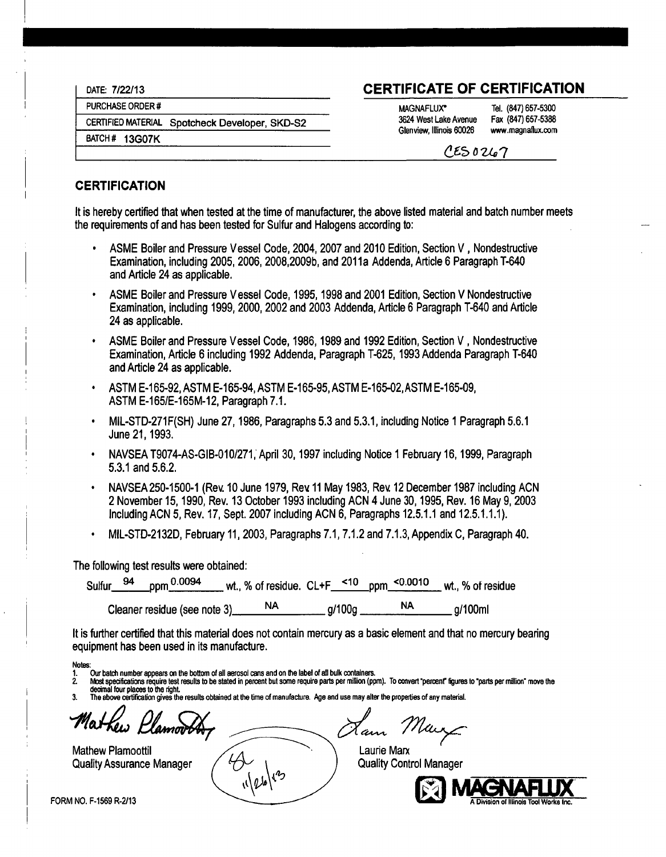CERTIFIED MATERIAL Spotcheck Developer, SKD-S2 3624 West Lake Avenue Fax (847) 657-5388<br>Clenview, Illinois 60026 www.magnaflux.com

BATCH **# 13G07K**

## **DATE: 7/22/13** CERTIFICATE OF **CERTIFICATION**

PURCHASE ORDER # Tel. (847) 657-5300 Glenview, Illinois 60026

 $CES0247$ 

#### **CERTIFICATION**

It is hereby certified that when tested at the time of manufacturer, the above listed material and batch number meets the requirements of and has been tested for Sulfur and Halogens according to:

- ASME Boiler and Pressure Vessel Code, 2004, 2007 and 2010 Edition, Section V, Nondestructive Examination, including 2005, 2006, 2008, 2009b, and 2011a Addenda, Article 6 Paragraph T-640 and Article 24 as applicable.
- ASME Boiler and Pressure Vessel Code, 1995, 1998 and 2001 Edition, Section V Nondestructive Examination, including 1999, 2000, 2002 and 2003 Addenda, Article 6 Paragraph T-640 and Article 24 as applicable.
- **0** ASME Boiler and Pressure Vessel Code, 1986, 1989 and 1992 Edition, Section V, Nondestructive Examination, Article 6 including 1992 Addenda, Paragraph T-625, 1993 Addenda Paragraph T-640 and Article 24 as applicable.
- **0** ASTM E-1 65-92, ASTM E-1 65-94, ASTM E-1 65-95, ASTM E-1 65-02, ASTM E-1 65-09, ASTM E-165/E-165M-12, Paragraph 7.1.
- **#** MIL-STD-271F(SH) June 27, 1986, Paragraphs 5.3 and 5.3.1, including Notice **1** Paragraph 5.6.1 June 21, 1993.
- NAVSEA T9074-AS-GIB-010/271, April 30, 1997 including Notice 1 February 16, 1999, Paragraph 5.3.1 and 5.6.2.
- NAVSEA 250-1500-1 (Rev. 10 June 1979, Rev. 11 May 1983, Rev. 12 December 1987 including ACN 2 November 15,1990, Rev. 13 October 1993 including ACN 4 June 30, 1995, Rev. 16 May 9, 2003 Including ACN 5, Rev. 17, Sept. 2007 including ACN 6, Paragraphs 12.5.1.1 and 12.5.1.1.1).
- **0** MIL-STD-2132D, February 11, 2003, Paragraphs 7.1, 7.1.2 and 7.1.3, Appendix C, Paragraph 40.

The following test results were obtained:

|  | Sulfur 94 ppm 0.0094 wt., % of residue. CL+F <10 ppm <0.0010 wt., % of residue |  |  |  |  |  |
|--|--------------------------------------------------------------------------------|--|--|--|--|--|
|  |                                                                                |  |  |  |  |  |

Cleaner residue (see note 3) NA g/100g NA g/100ml

It is further certified that this material does not contain mercury as a basic element and that no mercury bearing equipment has been used in its manufacture.

Notes:

1. Our batch number appears on the bottom of all aerosol cans and on the label of all bulk containers.<br>2. Most specifications require test results to be stated in percent but some require parts per million (pp

- Most specifications require test results to be stated in percent but some require parts per million (ppm). To convert "percent" figures to "parts per million" move the decimal four places to the right.
- decimal four places to the right **3.** The above certification gives the results obtained at the time of manufacture. Age and use may alter the properties of any material.

Mathew Plamoottil Laurie Marx



Quality Assurance Manager (200 Quality Control Manager Quality Control Manager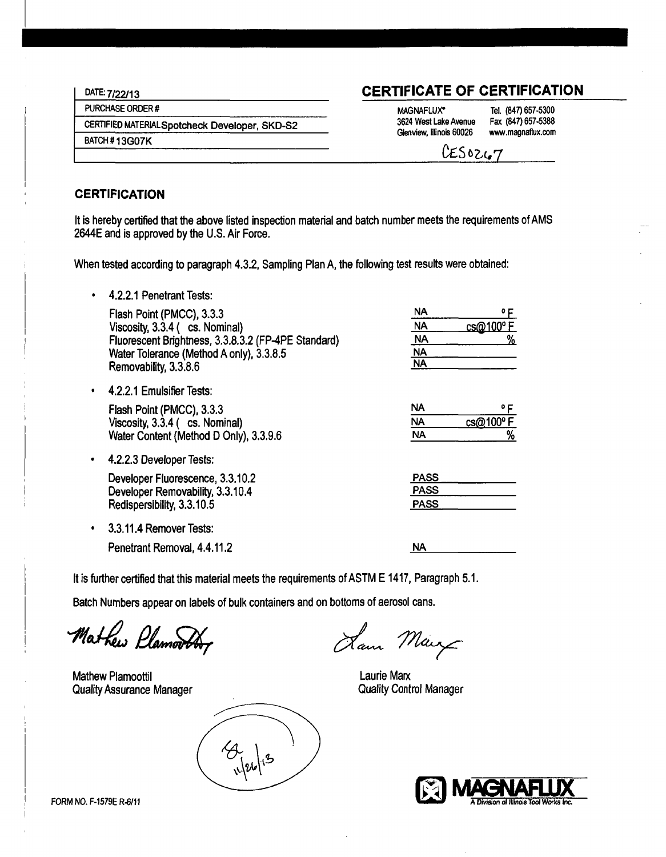DATE **7/22/13**

PURCHASE ORDER #

CERTIFIED MATERIALSpotcheck Developer, SKD-S2

BATCH #1 3GO7K

# CERTIFICATE OF **CERTIFICATION**

MAGNAFLUX<sup>\*</sup> Tel. (847) 657-5300<br>3624 West Lake Avenue Fax (847) 657-5388 3624 West Lake Avenue Fax (847) 657-5388 Glenview, Illinois 60026

 $CES0ZG7$ 

#### **CERTIFICATION**

It is hereby certified that the above listed inspection material and batch number meets the requirements of AMS 2644E and is approved by the U.S. Air Force.

When tested according to paragraph 4.3.2, Sampling Plan A, the following test results were obtained:

\* 4.2.2.1 Penetrant Tests: Flash Point (PMCC), 3.3.3 Viscosity, 3.3.4 **(** cs. Nominal) Fluorescent Brightness, 3.3.8.3.2 (FP-4PE Standard) Water Tolerance (Method A only), 3.3.8.5 Removability, 3.3.8.6 **0** 4.2.2.1 Emulsifier Tests: Flash Point (PMCC), 3.3.3 Viscosity, 3.3.4 **(** cs. Nominal) Water Content (Method D Only), 3.3.9.6 **0** 4.2.2.3 Developer Tests: Developer Fluorescence, 3.3.10.2 Developer Removability, 3.3.10.4 Redispersibility, 3.3.10.5 \* 3.3.11.4 Remover Tests: Penetrant Removal, 4.4.11.2 **NA 0 P**<br>**NA** cs@100° F NA **%** NA NA NA o F  $N_A$   $cs@100°$  F NA **%** PASS PASS PASS NA

It is further certified that this material meets the requirements of ASTM E 1417, Paragraph 5.1.

Batch Numbers appear on labels of bulk containers and on bottoms of aerosol cans.

Mathew Plamodor

Mathew Plamoottil Quality Assurance Manager



Lam May

Laurie Marx Quality Control Manager

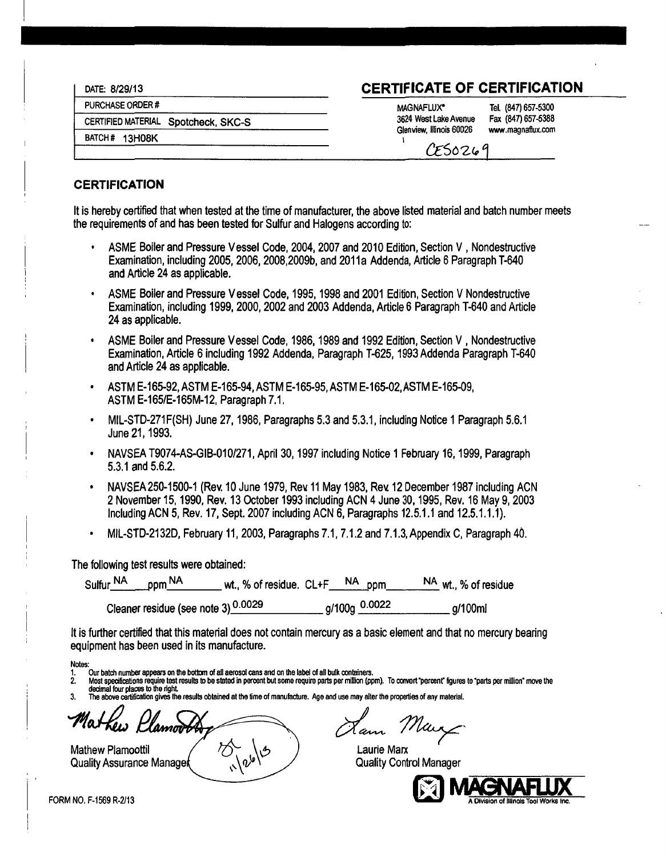|  | DATE: 8/29/13 |
|--|---------------|
|--|---------------|

PURCHASE ORDER # MAGNAFLUX° Tel. (847) 657-5300

CERTIFIED MATERIAL Spotcheck, SKC-S<br>
Glenview, Illinois 60026 www.magnaflux.com

## **CERTIFICATE OF CERTIFICATION**

Glenview, Illinois 60026 www.magnaflux.com BATCH **#** 13HO8K (FSO26

### **CERTIFICATION**

It is hereby certified that when tested at the time of manufacturer, the above listed material and batch number meets the requirements of and has been tested for Sulfur and Halogens according to:

- , ASME Boiler and Pressure Vessel Code, 2004, 2007 and 2010 Edition, Section V, Nondestructive Examination, including 2005, 2006, 2008,2009b, and 2011a Addenda, Article 6 Paragraph T-640 and Article 24 as applicable.
- **0** ASME Boiler and Pressure Vessel Code, 1995, 1998 and 2001 Edition, Section V Nondestructive Examination, including 1999, 2000, 2002 and 2003 Addenda, Article 6 Paragraph T-640 and Article 24 as applicable.
- ASME Boiler and Pressure Vessel Code, 1986, 1989 and 1992 Edition, Section V, Nondestructive Examination, Article 6 including 1992 Addenda, Paragraph T-625, 1993 Addenda Paragraph T-640 and Article 24 as applicable.
- **0** ASTM E-165-92, ASTM E-165-94, ASTM E-165-95, ASTM E-165-02,ASTM E-165-09, ASTM E-165/E-165M-12, Paragraph 7.1.
- **0** MIL-STD-271F(SH) June 27, 1986, Paragraphs 5.3 and 5.3.1, including Notice 1 Paragraph 5.6.1 June 21, 1993.
- NAVSEA T9074-AS-GIB-010/271, April 30, 1997 including Notice 1 February 16, 1999, Paragraph 5.3.1 and 5.6.2.
- **\*** NAVSEA250-1500-1 (Rev. 10 June 1979, Rev 11 May 1983, Rev 12 December 1987 including ACN 2 November 15,1990, Rev. 13 October 1993 including ACN 4 June 30, 1995, Rev. 16 May 9, 2003 Including ACN 5, Rev. 17, Sept. 2007 including ACN 6, Paragraphs 12.5.1.1 and 12.5.1.1.1).
- \* MIL-STD-2132D, February 11, 2003, Paragraphs 7.1, 7.1.2 and 7.1.3, Appendix C, Paragraph 40.

The following test results were obtained:

| Sulfur NA ppm NA                                 | wt., % of residue. CL+F NA ppm NA |  | NA wt., % of residue |
|--------------------------------------------------|-----------------------------------|--|----------------------|
| Cleaner residue (see note $3)$ <sup>0.0029</sup> |                                   |  | g/100ml              |

It is further certified that this material does not contain mercury as a basic element and that no mercury bearing equipment has been used in its manufacture.

Notes:

1. Our batch number appears on the bottom of all aerosol cans and on the label of all bulk containers.

2. Most specifications require test results to be stated in percent but some require parts per million (ppm). To convert"percenr figures to "parts per million" move the decimal four places to the right. 3. The above certification gives the results obtained at the time of manufacture. Age and use may alter the properties of any material.



Mathew Plamoottil **Article Marx**<br>Quality Assurance Manager And Article Marx<br>Cuality Castro Quality Assurance Managet  $\lambda \chi^2$  and  $\lambda$  Quality Control Manager